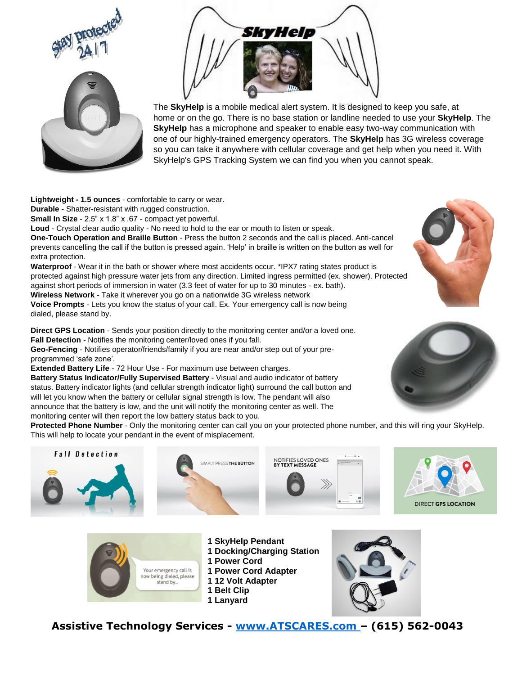





The **SkyHelp** is a mobile medical alert system. It is designed to keep you safe, at home or on the go. There is no base station or landline needed to use your **SkyHelp**. The **SkyHelp** has a microphone and speaker to enable easy two-way communication with one of our highly-trained emergency operators. The **SkyHelp** has 3G wireless coverage so you can take it anywhere with cellular coverage and get help when you need it. With SkyHelp's GPS Tracking System we can find you when you cannot speak.

**Lightweight - 1.5 ounces** - comfortable to carry or wear.

**Durable** - Shatter-resistant with rugged construction.

**Small In Size** - 2.5" x 1.8" x .67 - compact yet powerful.

**Loud** - Crystal clear audio quality - No need to hold to the ear or mouth to listen or speak. **One-Touch Operation and Braille Button** - Press the button 2 seconds and the call is placed. Anti-cancel

prevents cancelling the call if the button is pressed again. 'Help' in braille is written on the button as well for extra protection.

**Waterproof** - Wear it in the bath or shower where most accidents occur. \*IPX7 rating states product is protected against high pressure water jets from any direction. Limited ingress permitted (ex. shower). Protected against short periods of immersion in water (3.3 feet of water for up to 30 minutes - ex. bath). **Wireless Network** - Take it wherever you go on a nationwide 3G wireless network

**Voice Prompts** - Lets you know the status of your call. Ex. Your emergency call is now being dialed, please stand by.

**Direct GPS Location** - Sends your position directly to the monitoring center and/or a loved one. **Fall Detection** - Notifies the monitoring center/loved ones if you fall.

**Geo-Fencing** - Notifies operator/friends/family if you are near and/or step out of your preprogrammed 'safe zone'.

**Extended Battery Life** - 72 Hour Use - For maximum use between charges.

**Battery Status Indicator/Fully Supervised Battery** - Visual and audio indicator of battery status. Battery indicator lights (and cellular strength indicator light) surround the call button and will let you know when the battery or cellular signal strength is low. The pendant will also announce that the battery is low, and the unit will notify the monitoring center as well. The monitoring center will then report the low battery status back to you.

**Protected Phone Number** - Only the monitoring center can call you on your protected phone number, and this will ring your SkyHelp. This will help to locate your pendant in the event of misplacement.





- 
- 
- **1 Power Cord**
- 
- 
- **1 Belt Clip**
- **1 Lanyard**